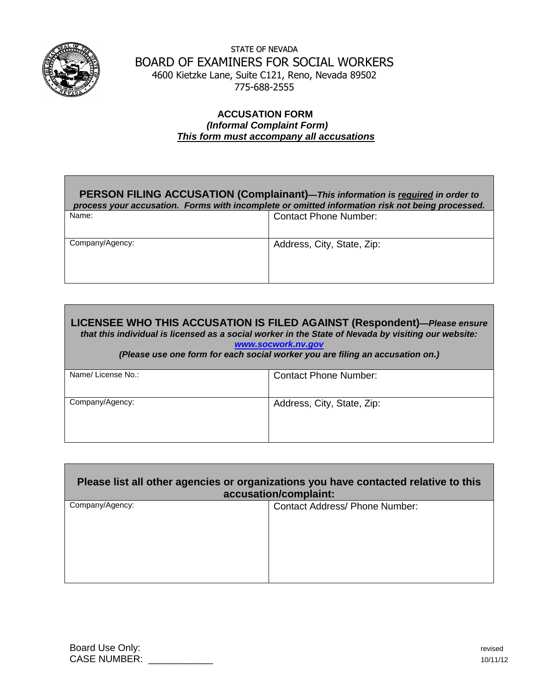

STATE OF NEVADA BOARD OF EXAMINERS FOR SOCIAL WORKERS 4600 Kietzke Lane, Suite C121, Reno, Nevada 89502 775-688-2555

## **ACCUSATION FORM**  *(Informal Complaint Form) This form must accompany all accusations*

## **PERSON FILING ACCUSATION (Complainant)***—This information is required in order to process your accusation. Forms with incomplete or omitted information risk not being processed.*

| Name:           | <b>Contact Phone Number:</b> |
|-----------------|------------------------------|
| Company/Agency: | Address, City, State, Zip:   |

**LICENSEE WHO THIS ACCUSATION IS FILED AGAINST (Respondent)***—Please ensure that this individual is licensed as a social worker in the State of Nevada by visiting our website:* 

*[www.socwork.nv.gov](http://www.socwork.nv.gov/)*

*(Please use one form for each social worker you are filing an accusation on.)*

| Name/License No.: | <b>Contact Phone Number:</b> |
|-------------------|------------------------------|
| Company/Agency:   | Address, City, State, Zip:   |

| Please list all other agencies or organizations you have contacted relative to this<br>accusation/complaint: |                                       |  |
|--------------------------------------------------------------------------------------------------------------|---------------------------------------|--|
| Company/Agency:                                                                                              | <b>Contact Address/ Phone Number:</b> |  |